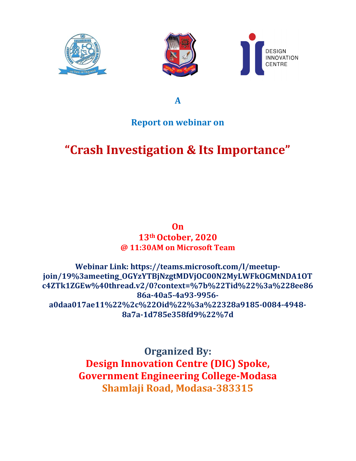





A

## Report on webinar on

# "Crash Investigation & Its Importance"

#### On 13th October, 2020 @ 11:30AM on Microsoft Team

#### Webinar Link: https://teams.microsoft.com/l/meetupjoin/19%3ameeting\_OGYzYTBjNzgtMDVjOC00N2MyLWFkOGMtNDA1OT c4ZTk1ZGEw%40thread.v2/0?context=%7b%22Tid%22%3a%228ee86 86a-40a5-4a93-9956 a0daa017ae11%22%2c%22Oid%22%3a%22328a9185-0084-4948- 8a7a-1d785e358fd9%22%7d

Organized By: Design Innovation Centre (DIC) Spoke, Government Engineering College-Modasa Shamlaji Road, Modasa-383315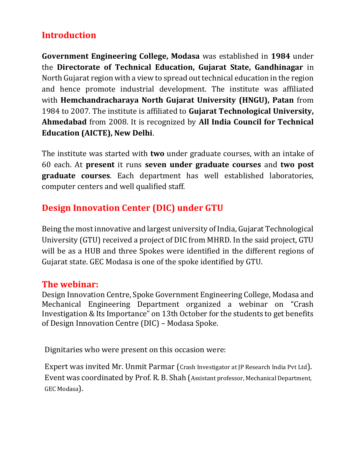## Introduction

Government Engineering College, Modasa was established in 1984 under the Directorate of Technical Education, Gujarat State, Gandhinagar in North Gujarat region with a view to spread out technical education in the region and hence promote industrial development. The institute was affiliated with Hemchandracharaya North Gujarat University (HNGU), Patan from 1984 to 2007. The institute is affiliated to Gujarat Technological University, Ahmedabad from 2008. It is recognized by All India Council for Technical Education (AICTE), New Delhi.

The institute was started with **two** under graduate courses, with an intake of 60 each. At present it runs seven under graduate courses and two post graduate courses. Each department has well established laboratories, computer centers and well qualified staff.

# Design Innovation Center (DIC) under GTU

Being the most innovative and largest university of India, Gujarat Technological University (GTU) received a project of DIC from MHRD. In the said project, GTU will be as a HUB and three Spokes were identified in the different regions of Gujarat state. GEC Modasa is one of the spoke identified by GTU.

### The webinar:

Design Innovation Centre, Spoke Government Engineering College, Modasa and Mechanical Engineering Department organized a webinar on "Crash Investigation & Its Importance" on 13th October for the students to get benefits of Design Innovation Centre (DIC) – Modasa Spoke.

Dignitaries who were present on this occasion were:

Expert was invited Mr. Unmit Parmar (Crash Investigator at JP Research India Pvt Ltd). Event was coordinated by Prof. R. B. Shah (Assistant professor, Mechanical Department, GEC Modasa).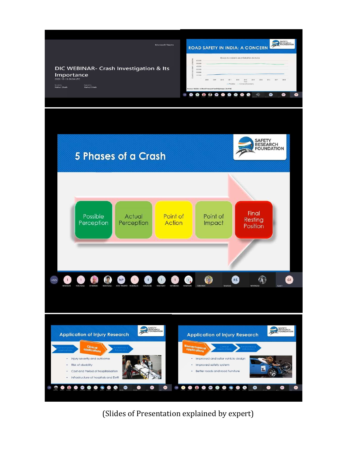

(Slides of Presentation explained by expert)